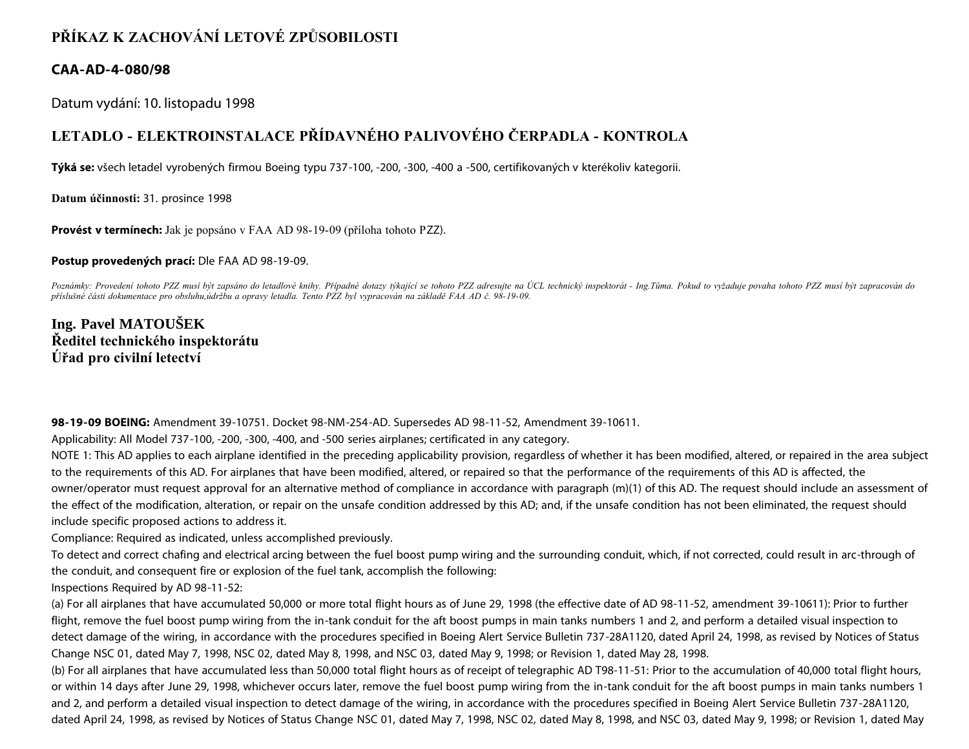## **PŘÍKAZ K ZACHOVÁNÍ LETOVÉ ZPŮSOBILOSTI**

## **CAA-AD-4-080/98**

Datum vydání: 10. listopadu 1998

## **LETADLO - ELEKTROINSTALACE PŘÍDAVNÉHO PALIVOVÉHO ČERPADLA - KONTROLA**

**Týká se:** všech letadel vyrobených firmou Boeing typu 737-100, -200, -300, -400 a -500, certifikovaných v kterékoliv kategorii.

**Datum účinnosti:** 31. prosince 1998

**Provést v termínech:** Jak je popsáno v FAA AD 98-19-09 (příloha tohoto PZZ).

**Postup provedených prací:** Dle FAA AD 98-19-09.

*Poznámky: Provedení tohoto PZZ musí být zapsáno do letadlové knihy. Případné dotazy týkající se tohoto PZZ adresujte na ÚCL technický inspektorát - Ing.Tůma. Pokud to vyžaduje povaha tohoto PZZ musí být zapracován do příslušné části dokumentace pro obsluhu,údržbu a opravy letadla. Tento PZZ byl vypracován na základě FAA AD č. 98-19-09.*

**Ing. Pavel MATOUŠEK Ředitel technického inspektorátu Úřad pro civilní letectví**

**98-19-09 BOEING:** Amendment 39-10751. Docket 98-NM-254-AD. Supersedes AD 98-11-52, Amendment 39-10611.

Applicability: All Model 737-100, -200, -300, -400, and -500 series airplanes; certificated in any category.

NOTE 1: This AD applies to each airplane identified in the preceding applicability provision, regardless of whether it has been modified, altered, or repaired in the area subject to the requirements of this AD. For airplanes that have been modified, altered, or repaired so that the performance of the requirements of this AD is affected, the owner/operator must request approval for an alternative method of compliance in accordance with paragraph (m)(1) of this AD. The request should include an assessment of the effect of the modification, alteration, or repair on the unsafe condition addressed by this AD; and, if the unsafe condition has not been eliminated, the request should include specific proposed actions to address it.

Compliance: Required as indicated, unless accomplished previously.

To detect and correct chafing and electrical arcing between the fuel boost pump wiring and the surrounding conduit, which, if not corrected, could result in arc-through of the conduit, and consequent fire or explosion of the fuel tank, accomplish the following:

Inspections Required by AD 98-11-52:

(a) For all airplanes that have accumulated 50,000 or more total flight hours as of June 29, 1998 (the effective date of AD 98-11-52, amendment 39-10611): Prior to further flight, remove the fuel boost pump wiring from the in-tank conduit for the aft boost pumps in main tanks numbers 1 and 2, and perform a detailed visual inspection to detect damage of the wiring, in accordance with the procedures specified in Boeing Alert Service Bulletin 737-28A1120, dated April 24, 1998, as revised by Notices of Status Change NSC 01, dated May 7, 1998, NSC 02, dated May 8, 1998, and NSC 03, dated May 9, 1998; or Revision 1, dated May 28, 1998.

(b) For all airplanes that have accumulated less than 50,000 total flight hours as of receipt of telegraphic AD T98-11-51: Prior to the accumulation of 40,000 total flight hours, or within 14 days after June 29, 1998, whichever occurs later, remove the fuel boost pump wiring from the in-tank conduit for the aft boost pumps in main tanks numbers 1 and 2, and perform a detailed visual inspection to detect damage of the wiring, in accordance with the procedures specified in Boeing Alert Service Bulletin 737-28A1120, dated April 24, 1998, as revised by Notices of Status Change NSC 01, dated May 7, 1998, NSC 02, dated May 8, 1998, and NSC 03, dated May 9, 1998; or Revision 1, dated May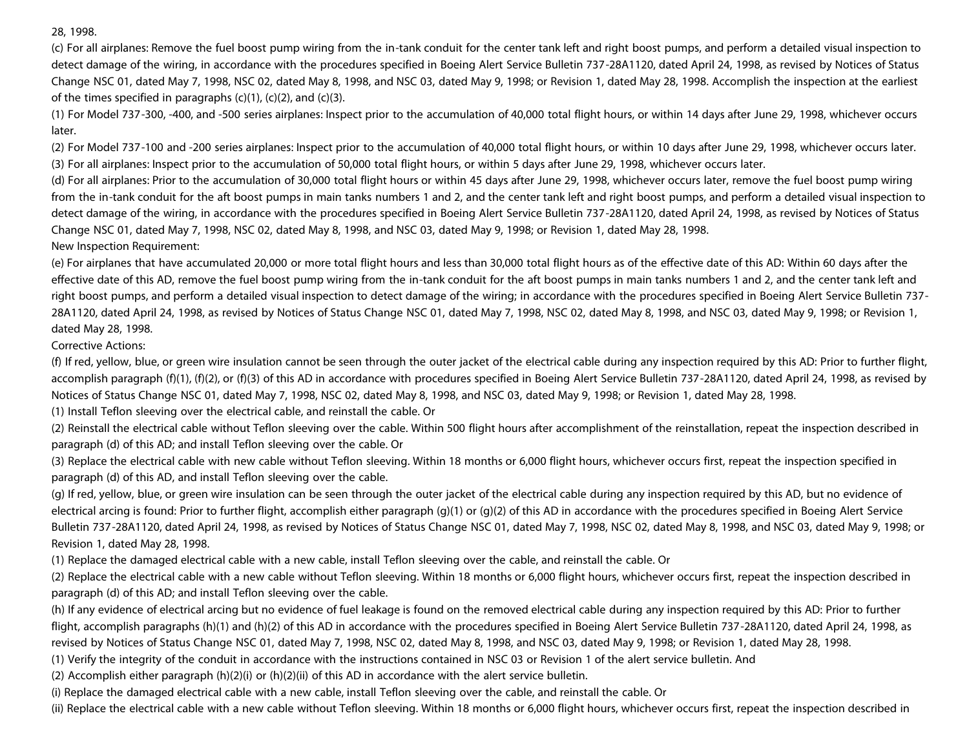28, 1998.

(c) For all airplanes: Remove the fuel boost pump wiring from the in-tank conduit for the center tank left and right boost pumps, and perform a detailed visual inspection to detect damage of the wiring, in accordance with the procedures specified in Boeing Alert Service Bulletin 737-28A1120, dated April 24, 1998, as revised by Notices of Status Change NSC 01, dated May 7, 1998, NSC 02, dated May 8, 1998, and NSC 03, dated May 9, 1998; or Revision 1, dated May 28, 1998. Accomplish the inspection at the earliest of the times specified in paragraphs  $(c)(1)$ ,  $(c)(2)$ , and  $(c)(3)$ .

(1) For Model 737-300, -400, and -500 series airplanes: Inspect prior to the accumulation of 40,000 total flight hours, or within 14 days after June 29, 1998, whichever occurs later.

(2) For Model 737-100 and -200 series airplanes: Inspect prior to the accumulation of 40,000 total flight hours, or within 10 days after June 29, 1998, whichever occurs later. (3) For all airplanes: Inspect prior to the accumulation of 50,000 total flight hours, or within 5 days after June 29, 1998, whichever occurs later.

(d) For all airplanes: Prior to the accumulation of 30,000 total flight hours or within 45 days after June 29, 1998, whichever occurs later, remove the fuel boost pump wiring from the in-tank conduit for the aft boost pumps in main tanks numbers 1 and 2, and the center tank left and right boost pumps, and perform a detailed visual inspection to detect damage of the wiring, in accordance with the procedures specified in Boeing Alert Service Bulletin 737-28A1120, dated April 24, 1998, as revised by Notices of Status Change NSC 01, dated May 7, 1998, NSC 02, dated May 8, 1998, and NSC 03, dated May 9, 1998; or Revision 1, dated May 28, 1998.

New Inspection Requirement:

(e) For airplanes that have accumulated 20,000 or more total flight hours and less than 30,000 total flight hours as of the effective date of this AD: Within 60 days after the effective date of this AD, remove the fuel boost pump wiring from the in-tank conduit for the aft boost pumps in main tanks numbers 1 and 2, and the center tank left and right boost pumps, and perform a detailed visual inspection to detect damage of the wiring; in accordance with the procedures specified in Boeing Alert Service Bulletin 737- 28A1120, dated April 24, 1998, as revised by Notices of Status Change NSC 01, dated May 7, 1998, NSC 02, dated May 8, 1998, and NSC 03, dated May 9, 1998; or Revision 1, dated May 28, 1998.

Corrective Actions:

(f) If red, yellow, blue, or green wire insulation cannot be seen through the outer jacket of the electrical cable during any inspection required by this AD: Prior to further flight, accomplish paragraph (f)(1), (f)(2), or (f)(3) of this AD in accordance with procedures specified in Boeing Alert Service Bulletin 737-28A1120, dated April 24, 1998, as revised by Notices of Status Change NSC 01, dated May 7, 1998, NSC 02, dated May 8, 1998, and NSC 03, dated May 9, 1998; or Revision 1, dated May 28, 1998.

(1) Install Teflon sleeving over the electrical cable, and reinstall the cable. Or

(2) Reinstall the electrical cable without Teflon sleeving over the cable. Within 500 flight hours after accomplishment of the reinstallation, repeat the inspection described in paragraph (d) of this AD; and install Teflon sleeving over the cable. Or

(3) Replace the electrical cable with new cable without Teflon sleeving. Within 18 months or 6,000 flight hours, whichever occurs first, repeat the inspection specified in paragraph (d) of this AD, and install Teflon sleeving over the cable.

(g) If red, yellow, blue, or green wire insulation can be seen through the outer jacket of the electrical cable during any inspection required by this AD, but no evidence of electrical arcing is found: Prior to further flight, accomplish either paragraph (g)(1) or (g)(2) of this AD in accordance with the procedures specified in Boeing Alert Service Bulletin 737-28A1120, dated April 24, 1998, as revised by Notices of Status Change NSC 01, dated May 7, 1998, NSC 02, dated May 8, 1998, and NSC 03, dated May 9, 1998; or Revision 1, dated May 28, 1998.

(1) Replace the damaged electrical cable with a new cable, install Teflon sleeving over the cable, and reinstall the cable. Or

(2) Replace the electrical cable with a new cable without Teflon sleeving. Within 18 months or 6,000 flight hours, whichever occurs first, repeat the inspection described in paragraph (d) of this AD; and install Teflon sleeving over the cable.

(h) If any evidence of electrical arcing but no evidence of fuel leakage is found on the removed electrical cable during any inspection required by this AD: Prior to further flight, accomplish paragraphs (h)(1) and (h)(2) of this AD in accordance with the procedures specified in Boeing Alert Service Bulletin 737-28A1120, dated April 24, 1998, as revised by Notices of Status Change NSC 01, dated May 7, 1998, NSC 02, dated May 8, 1998, and NSC 03, dated May 9, 1998; or Revision 1, dated May 28, 1998.

(1) Verify the integrity of the conduit in accordance with the instructions contained in NSC 03 or Revision 1 of the alert service bulletin. And

(2) Accomplish either paragraph (h)(2)(i) or (h)(2)(ii) of this AD in accordance with the alert service bulletin.

(i) Replace the damaged electrical cable with a new cable, install Teflon sleeving over the cable, and reinstall the cable. Or

(ii) Replace the electrical cable with a new cable without Teflon sleeving. Within 18 months or 6,000 flight hours, whichever occurs first, repeat the inspection described in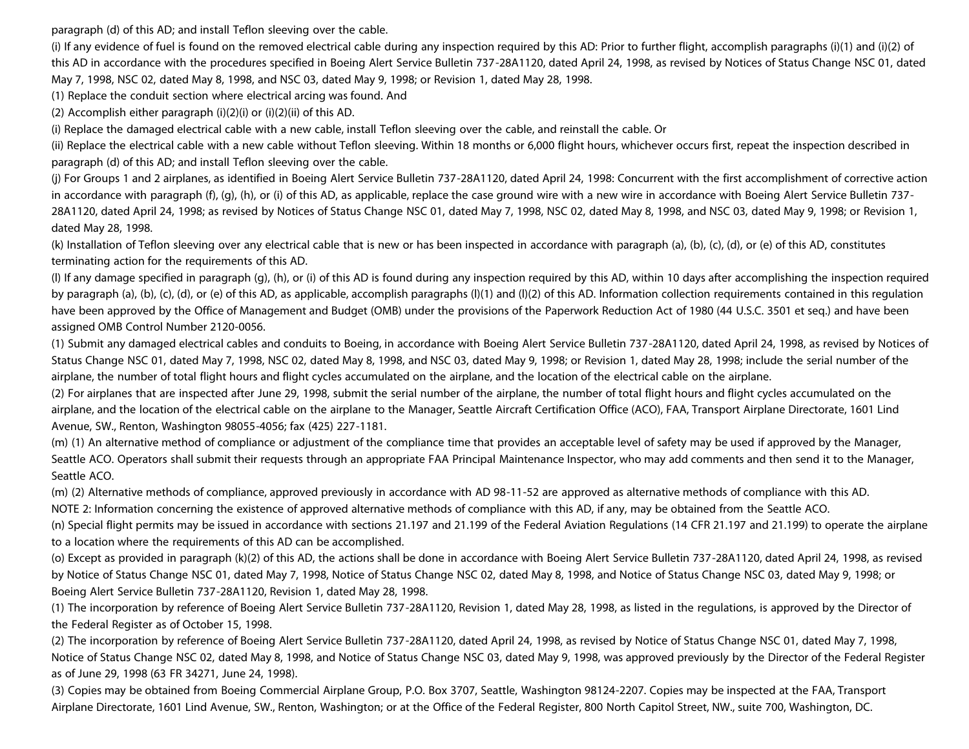paragraph (d) of this AD; and install Teflon sleeving over the cable.

(i) If any evidence of fuel is found on the removed electrical cable during any inspection required by this AD: Prior to further flight, accomplish paragraphs (i)(1) and (i)(2) of this AD in accordance with the procedures specified in Boeing Alert Service Bulletin 737-28A1120, dated April 24, 1998, as revised by Notices of Status Change NSC 01, dated May 7, 1998, NSC 02, dated May 8, 1998, and NSC 03, dated May 9, 1998; or Revision 1, dated May 28, 1998.

(1) Replace the conduit section where electrical arcing was found. And

(2) Accomplish either paragraph (i)(2)(i) or (i)(2)(ii) of this AD.

(i) Replace the damaged electrical cable with a new cable, install Teflon sleeving over the cable, and reinstall the cable. Or

(ii) Replace the electrical cable with a new cable without Teflon sleeving. Within 18 months or 6,000 flight hours, whichever occurs first, repeat the inspection described in paragraph (d) of this AD; and install Teflon sleeving over the cable.

(j) For Groups 1 and 2 airplanes, as identified in Boeing Alert Service Bulletin 737-28A1120, dated April 24, 1998: Concurrent with the first accomplishment of corrective action in accordance with paragraph (f), (g), (h), or (i) of this AD, as applicable, replace the case ground wire with a new wire in accordance with Boeing Alert Service Bulletin 737- 28A1120, dated April 24, 1998; as revised by Notices of Status Change NSC 01, dated May 7, 1998, NSC 02, dated May 8, 1998, and NSC 03, dated May 9, 1998; or Revision 1, dated May 28, 1998.

(k) Installation of Teflon sleeving over any electrical cable that is new or has been inspected in accordance with paragraph (a), (b), (c), (d), or (e) of this AD, constitutes terminating action for the requirements of this AD.

(l) If any damage specified in paragraph (g), (h), or (i) of this AD is found during any inspection required by this AD, within 10 days after accomplishing the inspection required by paragraph (a), (b), (c), (d), or (e) of this AD, as applicable, accomplish paragraphs (l)(1) and (l)(2) of this AD. Information collection requirements contained in this regulation have been approved by the Office of Management and Budget (OMB) under the provisions of the Paperwork Reduction Act of 1980 (44 U.S.C. 3501 et seq.) and have been assigned OMB Control Number 2120-0056.

(1) Submit any damaged electrical cables and conduits to Boeing, in accordance with Boeing Alert Service Bulletin 737-28A1120, dated April 24, 1998, as revised by Notices of Status Change NSC 01, dated May 7, 1998, NSC 02, dated May 8, 1998, and NSC 03, dated May 9, 1998; or Revision 1, dated May 28, 1998; include the serial number of the airplane, the number of total flight hours and flight cycles accumulated on the airplane, and the location of the electrical cable on the airplane.

(2) For airplanes that are inspected after June 29, 1998, submit the serial number of the airplane, the number of total flight hours and flight cycles accumulated on the airplane, and the location of the electrical cable on the airplane to the Manager, Seattle Aircraft Certification Office (ACO), FAA, Transport Airplane Directorate, 1601 Lind Avenue, SW., Renton, Washington 98055-4056; fax (425) 227-1181.

(m) (1) An alternative method of compliance or adjustment of the compliance time that provides an acceptable level of safety may be used if approved by the Manager, Seattle ACO. Operators shall submit their requests through an appropriate FAA Principal Maintenance Inspector, who may add comments and then send it to the Manager, Seattle ACO.

(m) (2) Alternative methods of compliance, approved previously in accordance with AD 98-11-52 are approved as alternative methods of compliance with this AD.

NOTE 2: Information concerning the existence of approved alternative methods of compliance with this AD, if any, may be obtained from the Seattle ACO.

(n) Special flight permits may be issued in accordance with sections 21.197 and 21.199 of the Federal Aviation Regulations (14 CFR 21.197 and 21.199) to operate the airplane to a location where the requirements of this AD can be accomplished.

(o) Except as provided in paragraph (k)(2) of this AD, the actions shall be done in accordance with Boeing Alert Service Bulletin 737-28A1120, dated April 24, 1998, as revised by Notice of Status Change NSC 01, dated May 7, 1998, Notice of Status Change NSC 02, dated May 8, 1998, and Notice of Status Change NSC 03, dated May 9, 1998; or Boeing Alert Service Bulletin 737-28A1120, Revision 1, dated May 28, 1998.

(1) The incorporation by reference of Boeing Alert Service Bulletin 737-28A1120, Revision 1, dated May 28, 1998, as listed in the regulations, is approved by the Director of the Federal Register as of October 15, 1998.

(2) The incorporation by reference of Boeing Alert Service Bulletin 737-28A1120, dated April 24, 1998, as revised by Notice of Status Change NSC 01, dated May 7, 1998, Notice of Status Change NSC 02, dated May 8, 1998, and Notice of Status Change NSC 03, dated May 9, 1998, was approved previously by the Director of the Federal Register as of June 29, 1998 (63 FR 34271, June 24, 1998).

(3) Copies may be obtained from Boeing Commercial Airplane Group, P.O. Box 3707, Seattle, Washington 98124-2207. Copies may be inspected at the FAA, Transport Airplane Directorate, 1601 Lind Avenue, SW., Renton, Washington; or at the Office of the Federal Register, 800 North Capitol Street, NW., suite 700, Washington, DC.